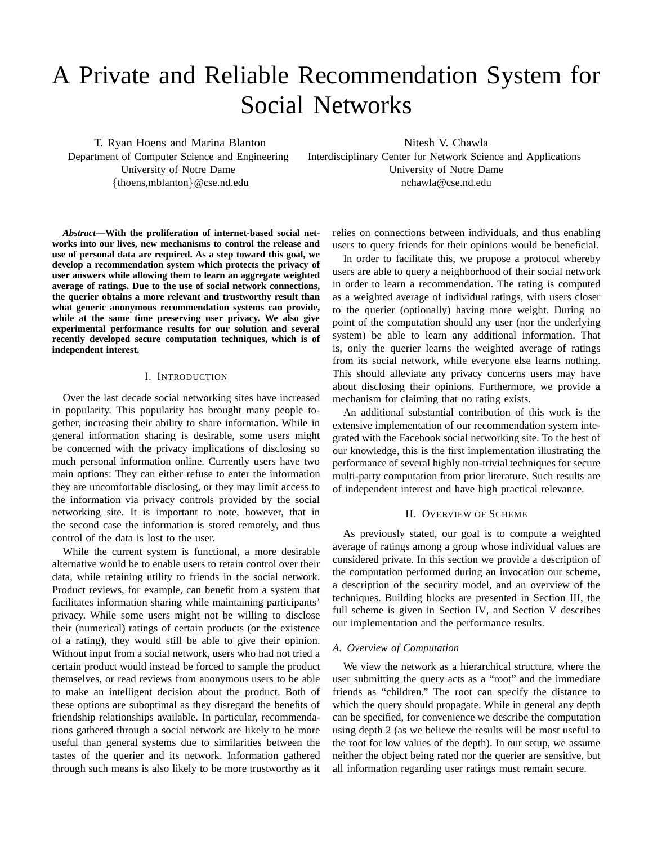# A Private and Reliable Recommendation System for Social Networks

T. Ryan Hoens and Marina Blanton Department of Computer Science and Engineering University of Notre Dame {thoens,mblanton}@cse.nd.edu

Nitesh V. Chawla

Interdisciplinary Center for Network Science and Applications University of Notre Dame nchawla@cse.nd.edu

*Abstract***—With the proliferation of internet-based social networks into our lives, new mechanisms to control the release and use of personal data are required. As a step toward this goal, we develop a recommendation system which protects the privacy of user answers while allowing them to learn an aggregate weighted average of ratings. Due to the use of social network connections, the querier obtains a more relevant and trustworthy result than what generic anonymous recommendation systems can provide, while at the same time preserving user privacy. We also give experimental performance results for our solution and several recently developed secure computation techniques, which is of independent interest.**

#### I. INTRODUCTION

Over the last decade social networking sites have increased in popularity. This popularity has brought many people together, increasing their ability to share information. While in general information sharing is desirable, some users might be concerned with the privacy implications of disclosing so much personal information online. Currently users have two main options: They can either refuse to enter the information they are uncomfortable disclosing, or they may limit access to the information via privacy controls provided by the social networking site. It is important to note, however, that in the second case the information is stored remotely, and thus control of the data is lost to the user.

While the current system is functional, a more desirable alternative would be to enable users to retain control over their data, while retaining utility to friends in the social network. Product reviews, for example, can benefit from a system that facilitates information sharing while maintaining participants' privacy. While some users might not be willing to disclose their (numerical) ratings of certain products (or the existence of a rating), they would still be able to give their opinion. Without input from a social network, users who had not tried a certain product would instead be forced to sample the product themselves, or read reviews from anonymous users to be able to make an intelligent decision about the product. Both of these options are suboptimal as they disregard the benefits of friendship relationships available. In particular, recommendations gathered through a social network are likely to be more useful than general systems due to similarities between the tastes of the querier and its network. Information gathered through such means is also likely to be more trustworthy as it

relies on connections between individuals, and thus enabling users to query friends for their opinions would be beneficial.

In order to facilitate this, we propose a protocol whereby users are able to query a neighborhood of their social network in order to learn a recommendation. The rating is computed as a weighted average of individual ratings, with users closer to the querier (optionally) having more weight. During no point of the computation should any user (nor the underlying system) be able to learn any additional information. That is, only the querier learns the weighted average of ratings from its social network, while everyone else learns nothing. This should alleviate any privacy concerns users may have about disclosing their opinions. Furthermore, we provide a mechanism for claiming that no rating exists.

An additional substantial contribution of this work is the extensive implementation of our recommendation system integrated with the Facebook social networking site. To the best of our knowledge, this is the first implementation illustrating the performance of several highly non-trivial techniques for secure multi-party computation from prior literature. Such results are of independent interest and have high practical relevance.

#### II. OVERVIEW OF SCHEME

As previously stated, our goal is to compute a weighted average of ratings among a group whose individual values are considered private. In this section we provide a description of the computation performed during an invocation our scheme, a description of the security model, and an overview of the techniques. Building blocks are presented in Section III, the full scheme is given in Section IV, and Section V describes our implementation and the performance results.

#### *A. Overview of Computation*

We view the network as a hierarchical structure, where the user submitting the query acts as a "root" and the immediate friends as "children." The root can specify the distance to which the query should propagate. While in general any depth can be specified, for convenience we describe the computation using depth 2 (as we believe the results will be most useful to the root for low values of the depth). In our setup, we assume neither the object being rated nor the querier are sensitive, but all information regarding user ratings must remain secure.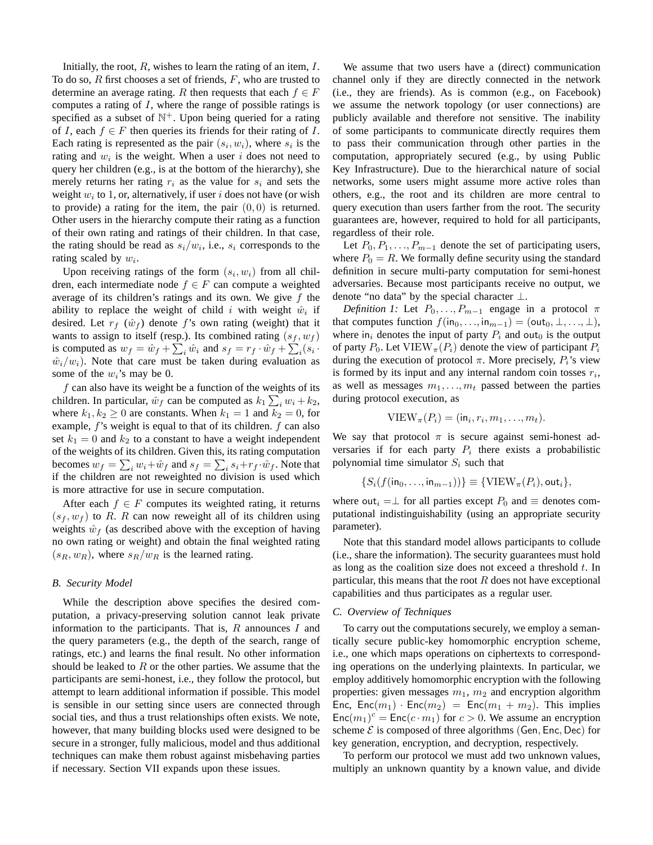Initially, the root,  $R$ , wishes to learn the rating of an item,  $I$ . To do so,  $R$  first chooses a set of friends,  $F$ , who are trusted to determine an average rating. R then requests that each  $f \in F$ computes a rating of  $I$ , where the range of possible ratings is specified as a subset of  $\mathbb{N}^+$ . Upon being queried for a rating of I, each  $f \in F$  then queries its friends for their rating of I. Each rating is represented as the pair  $(s_i, w_i)$ , where  $s_i$  is the rating and  $w_i$  is the weight. When a user i does not need to query her children (e.g., is at the bottom of the hierarchy), she merely returns her rating  $r_i$  as the value for  $s_i$  and sets the weight  $w_i$  to 1, or, alternatively, if user i does not have (or wish to provide) a rating for the item, the pair  $(0, 0)$  is returned. Other users in the hierarchy compute their rating as a function of their own rating and ratings of their children. In that case, the rating should be read as  $s_i/w_i$ , i.e.,  $s_i$  corresponds to the rating scaled by  $w_i$ .

Upon receiving ratings of the form  $(s_i, w_i)$  from all children, each intermediate node  $f \in F$  can compute a weighted average of its children's ratings and its own. We give  $f$  the ability to replace the weight of child i with weight  $\hat{w}_i$  if desired. Let  $r_f$  ( $\hat{w}_f$ ) denote f's own rating (weight) that it wants to assign to itself (resp.). Its combined rating  $(s_f, w_f)$ is computed as  $w_f = \hat{w}_f + \sum_i \hat{w}_i$  and  $s_f = r_f \cdot \hat{w}_f + \sum_i (s_i \cdot$  $\hat{w}_i/w_i$ ). Note that care must be taken during evaluation as some of the  $w_i$ 's may be 0.

 $f$  can also have its weight be a function of the weights of its children. In particular,  $\hat{w}_f$  can be computed as  $k_1 \sum_i w_i + k_2$ , where  $k_1, k_2 \geq 0$  are constants. When  $k_1 = 1$  and  $k_2 = 0$ , for example,  $f$ 's weight is equal to that of its children.  $f$  can also set  $k_1 = 0$  and  $k_2$  to a constant to have a weight independent of the weights of its children. Given this, its rating computation becomes  $w_f = \sum_i w_i + \hat{w}_f$  and  $s_f = \sum_i s_i + r_f \cdot \hat{w}_f$ . Note that if the children are not reweighted no division is used which is more attractive for use in secure computation.

After each  $f \in F$  computes its weighted rating, it returns  $(s_f, w_f)$  to R. R can now reweight all of its children using weights  $\hat{w}_f$  (as described above with the exception of having no own rating or weight) and obtain the final weighted rating  $(s_R, w_R)$ , where  $s_R/w_R$  is the learned rating.

#### *B. Security Model*

While the description above specifies the desired computation, a privacy-preserving solution cannot leak private information to the participants. That is,  $R$  announces  $I$  and the query parameters (e.g., the depth of the search, range of ratings, etc.) and learns the final result. No other information should be leaked to  $R$  or the other parties. We assume that the participants are semi-honest, i.e., they follow the protocol, but attempt to learn additional information if possible. This model is sensible in our setting since users are connected through social ties, and thus a trust relationships often exists. We note, however, that many building blocks used were designed to be secure in a stronger, fully malicious, model and thus additional techniques can make them robust against misbehaving parties if necessary. Section VII expands upon these issues.

We assume that two users have a (direct) communication channel only if they are directly connected in the network (i.e., they are friends). As is common (e.g., on Facebook) we assume the network topology (or user connections) are publicly available and therefore not sensitive. The inability of some participants to communicate directly requires them to pass their communication through other parties in the computation, appropriately secured (e.g., by using Public Key Infrastructure). Due to the hierarchical nature of social networks, some users might assume more active roles than others, e.g., the root and its children are more central to query execution than users farther from the root. The security guarantees are, however, required to hold for all participants, regardless of their role.

Let  $P_0, P_1, \ldots, P_{m-1}$  denote the set of participating users, where  $P_0 = R$ . We formally define security using the standard definition in secure multi-party computation for semi-honest adversaries. Because most participants receive no output, we denote "no data" by the special character  $\perp$ .

*Definition 1:* Let  $P_0, \ldots, P_{m-1}$  engage in a protocol  $\pi$ that computes function  $f(in_0, \ldots, in_{m-1}) = (out_0, \perp, \ldots, \perp),$ where in<sub>i</sub> denotes the input of party  $P_i$  and out<sub>0</sub> is the output of party  $P_0$ . Let VIEW<sub> $\pi$ </sub>( $P_i$ ) denote the view of participant  $P_i$ during the execution of protocol  $\pi$ . More precisely,  $P_i$ 's view is formed by its input and any internal random coin tosses  $r_i$ , as well as messages  $m_1, \ldots, m_t$  passed between the parties during protocol execution, as

$$
VIEW_{\pi}(P_i) = (in_i, r_i, m_1, \ldots, m_t).
$$

We say that protocol  $\pi$  is secure against semi-honest adversaries if for each party  $P_i$  there exists a probabilistic polynomial time simulator  $S_i$  such that

$$
\{S_i(f(\mathsf{in}_0,\ldots,\mathsf{in}_{m-1}))\} \equiv \{\text{VIEW}_{\pi}(P_i),\text{out}_i\},\
$$

where out<sub>i</sub> = $\perp$  for all parties except  $P_0$  and  $\equiv$  denotes computational indistinguishability (using an appropriate security parameter).

Note that this standard model allows participants to collude (i.e., share the information). The security guarantees must hold as long as the coalition size does not exceed a threshold  $t$ . In particular, this means that the root  $R$  does not have exceptional capabilities and thus participates as a regular user.

## *C. Overview of Techniques*

To carry out the computations securely, we employ a semantically secure public-key homomorphic encryption scheme, i.e., one which maps operations on ciphertexts to corresponding operations on the underlying plaintexts. In particular, we employ additively homomorphic encryption with the following properties: given messages  $m_1$ ,  $m_2$  and encryption algorithm Enc,  $Enc(m_1) \cdot Enc(m_2) = Enc(m_1 + m_2)$ . This implies  $Enc(m_1)^c = Enc(c \cdot m_1)$  for  $c > 0$ . We assume an encryption scheme  $\mathcal E$  is composed of three algorithms (Gen, Enc, Dec) for key generation, encryption, and decryption, respectively.

To perform our protocol we must add two unknown values, multiply an unknown quantity by a known value, and divide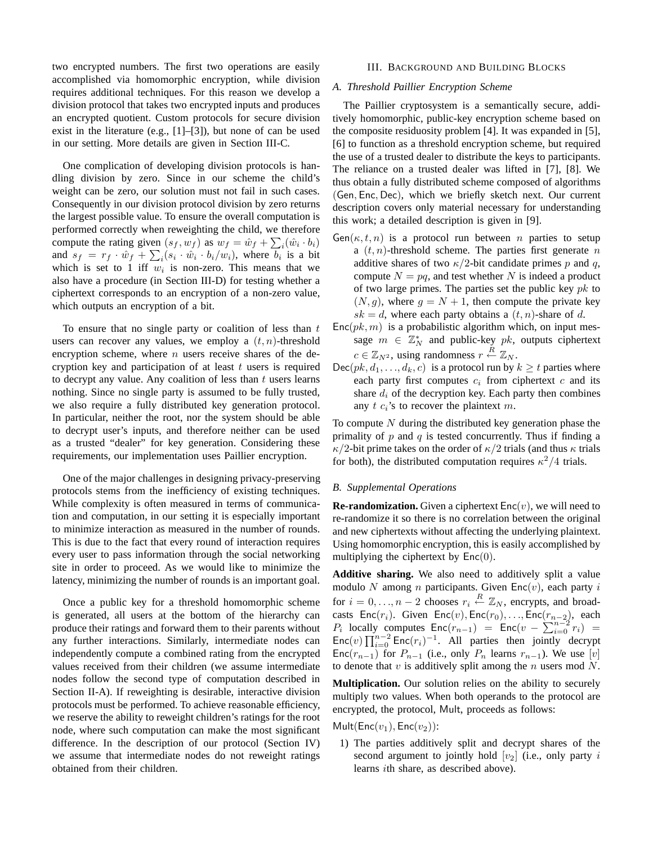two encrypted numbers. The first two operations are easily accomplished via homomorphic encryption, while division requires additional techniques. For this reason we develop a division protocol that takes two encrypted inputs and produces an encrypted quotient. Custom protocols for secure division exist in the literature (e.g., [1]–[3]), but none of can be used in our setting. More details are given in Section III-C.

One complication of developing division protocols is handling division by zero. Since in our scheme the child's weight can be zero, our solution must not fail in such cases. Consequently in our division protocol division by zero returns the largest possible value. To ensure the overall computation is performed correctly when reweighting the child, we therefore compute the rating given  $(s_f, w_f)$  as  $w_f = \hat{w}_f + \sum_i (\hat{w}_i \cdot b_i)$ and  $s_f = r_f \cdot \hat{w}_f + \sum_i (s_i \cdot \hat{w}_i \cdot b_i/w_i)$ , where  $b_i$  is a bit which is set to 1 iff  $w_i$  is non-zero. This means that we also have a procedure (in Section III-D) for testing whether a ciphertext corresponds to an encryption of a non-zero value, which outputs an encryption of a bit.

To ensure that no single party or coalition of less than  $t$ users can recover any values, we employ a  $(t, n)$ -threshold encryption scheme, where  $n$  users receive shares of the decryption key and participation of at least  $t$  users is required to decrypt any value. Any coalition of less than  $t$  users learns nothing. Since no single party is assumed to be fully trusted, we also require a fully distributed key generation protocol. In particular, neither the root, nor the system should be able to decrypt user's inputs, and therefore neither can be used as a trusted "dealer" for key generation. Considering these requirements, our implementation uses Paillier encryption.

One of the major challenges in designing privacy-preserving protocols stems from the inefficiency of existing techniques. While complexity is often measured in terms of communication and computation, in our setting it is especially important to minimize interaction as measured in the number of rounds. This is due to the fact that every round of interaction requires every user to pass information through the social networking site in order to proceed. As we would like to minimize the latency, minimizing the number of rounds is an important goal.

Once a public key for a threshold homomorphic scheme is generated, all users at the bottom of the hierarchy can produce their ratings and forward them to their parents without any further interactions. Similarly, intermediate nodes can independently compute a combined rating from the encrypted values received from their children (we assume intermediate nodes follow the second type of computation described in Section II-A). If reweighting is desirable, interactive division protocols must be performed. To achieve reasonable efficiency, we reserve the ability to reweight children's ratings for the root node, where such computation can make the most significant difference. In the description of our protocol (Section IV) we assume that intermediate nodes do not reweight ratings obtained from their children.

#### III. BACKGROUND AND BUILDING BLOCKS

### *A. Threshold Paillier Encryption Scheme*

The Paillier cryptosystem is a semantically secure, additively homomorphic, public-key encryption scheme based on the composite residuosity problem [4]. It was expanded in [5], [6] to function as a threshold encryption scheme, but required the use of a trusted dealer to distribute the keys to participants. The reliance on a trusted dealer was lifted in [7], [8]. We thus obtain a fully distributed scheme composed of algorithms (Gen, Enc, Dec), which we briefly sketch next. Our current description covers only material necessary for understanding this work; a detailed description is given in [9].

- $Gen(\kappa, t, n)$  is a protocol run between n parties to setup a  $(t, n)$ -threshold scheme. The parties first generate n additive shares of two  $\kappa/2$ -bit candidate primes p and q, compute  $N = pq$ , and test whether N is indeed a product of two large primes. The parties set the public key  $pk$  to  $(N, g)$ , where  $g = N + 1$ , then compute the private key  $sk = d$ , where each party obtains a  $(t, n)$ -share of d.
- $Enc(pk, m)$  is a probabilistic algorithm which, on input message  $m \in \mathbb{Z}_N^*$  and public-key pk, outputs ciphertext  $c \in \mathbb{Z}_{N^2}$ , using randomness  $r \stackrel{R}{\leftarrow} \mathbb{Z}_N$ .
- $Dec(pk, d_1, ..., d_k, c)$  is a protocol run by  $k \ge t$  parties where each party first computes  $c_i$  from ciphertext  $c$  and its share  $d_i$  of the decryption key. Each party then combines any  $t$   $c_i$ 's to recover the plaintext  $m$ .

To compute  $N$  during the distributed key generation phase the primality of p and q is tested concurrently. Thus if finding a  $\kappa/2$ -bit prime takes on the order of  $\kappa/2$  trials (and thus  $\kappa$  trials for both), the distributed computation requires  $\kappa^2/4$  trials.

#### *B. Supplemental Operations*

**Re-randomization.** Given a ciphertext  $Enc(v)$ , we will need to re-randomize it so there is no correlation between the original and new ciphertexts without affecting the underlying plaintext. Using homomorphic encryption, this is easily accomplished by multiplying the ciphertext by  $Enc(0)$ .

**Additive sharing.** We also need to additively split a value modulo N among n participants. Given  $Enc(v)$ , each party i for  $i = 0, ..., n-2$  chooses  $r_i \stackrel{R}{\leftarrow} \mathbb{Z}_N$ , encrypts, and broadcasts Enc( $r_i$ ). Given Enc(v), Enc( $r_0$ ), ..., Enc( $r_{n-2}$ ), each  $P_i$  locally computes  $\text{Enc}(r_{n-1}) = \text{Enc}(v - \sum_{i=0}^{n-2} r_i)$ Enc(v)  $\prod_{i=0}^{n-2}$  Enc(r<sub>i</sub>)<sup>-1</sup>. All parties then jointly decrypt Enc( $r_{n-1}$ ) for  $P_{n-1}$  (i.e., only  $P_n$  learns  $r_{n-1}$ ). We use [v] to denote that  $v$  is additively split among the  $n$  users mod  $N$ .

**Multiplication.** Our solution relies on the ability to securely multiply two values. When both operands to the protocol are encrypted, the protocol, Mult, proceeds as follows:

 $Mult(Enc(v_1), Enc(v_2))$ :

1) The parties additively split and decrypt shares of the second argument to jointly hold  $[v_2]$  (i.e., only party i learns ith share, as described above).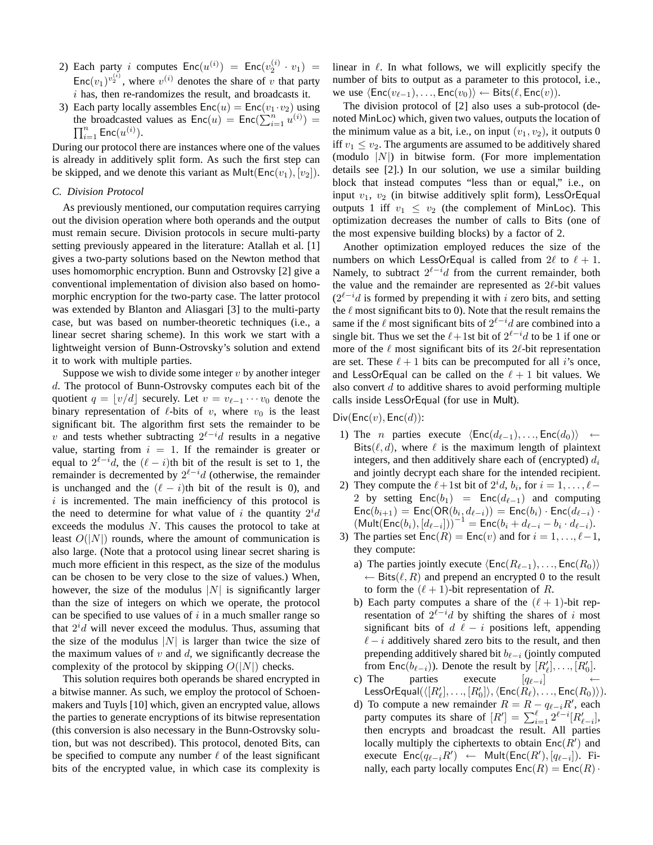- 2) Each party i computes  $Enc(u^{(i)}) = Enc(v_2^{(i)} \cdot v_1) =$  $Enc(v_1)^{v_2^{(i)}}$ , where  $v^{(i)}$  denotes the share of v that party  $i$  has, then re-randomizes the result, and broadcasts it.
- 3) Each party locally assembles  $Enc(u) = Enc(v_1 \cdot v_2)$  using the broadcasted values as  $Enc(u) = Enc(\sum_{i=1}^{n} u^{(i)}) =$  $\prod_{i=1}^n \mathsf{Enc}(u^{(i)})$ .

During our protocol there are instances where one of the values is already in additively split form. As such the first step can be skipped, and we denote this variant as  $Mult(Enc(v_1), [v_2])$ .

## *C. Division Protocol*

As previously mentioned, our computation requires carrying out the division operation where both operands and the output must remain secure. Division protocols in secure multi-party setting previously appeared in the literature: Atallah et al. [1] gives a two-party solutions based on the Newton method that uses homomorphic encryption. Bunn and Ostrovsky [2] give a conventional implementation of division also based on homomorphic encryption for the two-party case. The latter protocol was extended by Blanton and Aliasgari [3] to the multi-party case, but was based on number-theoretic techniques (i.e., a linear secret sharing scheme). In this work we start with a lightweight version of Bunn-Ostrovsky's solution and extend it to work with multiple parties.

Suppose we wish to divide some integer  $v$  by another integer d. The protocol of Bunn-Ostrovsky computes each bit of the quotient  $q = |v/d|$  securely. Let  $v = v_{\ell-1} \cdots v_0$  denote the binary representation of  $\ell$ -bits of v, where  $v_0$  is the least significant bit. The algorithm first sets the remainder to be v and tests whether subtracting  $2^{\ell-i}d$  results in a negative value, starting from  $i = 1$ . If the remainder is greater or equal to  $2^{\ell-i}d$ , the  $(\ell-i)$ th bit of the result is set to 1, the remainder is decremented by  $2^{\ell-i}d$  (otherwise, the remainder is unchanged and the  $(\ell - i)$ th bit of the result is 0), and  $i$  is incremented. The main inefficiency of this protocol is the need to determine for what value of i the quantity  $2^{i}d$ exceeds the modulus N. This causes the protocol to take at least  $O(|N|)$  rounds, where the amount of communication is also large. (Note that a protocol using linear secret sharing is much more efficient in this respect, as the size of the modulus can be chosen to be very close to the size of values.) When, however, the size of the modulus  $|N|$  is significantly larger than the size of integers on which we operate, the protocol can be specified to use values of  $i$  in a much smaller range so that  $2^{i}d$  will never exceed the modulus. Thus, assuming that the size of the modulus  $|N|$  is larger than twice the size of the maximum values of  $v$  and  $d$ , we significantly decrease the complexity of the protocol by skipping  $O(|N|)$  checks.

This solution requires both operands be shared encrypted in a bitwise manner. As such, we employ the protocol of Schoenmakers and Tuyls [10] which, given an encrypted value, allows the parties to generate encryptions of its bitwise representation (this conversion is also necessary in the Bunn-Ostrovsky solution, but was not described). This protocol, denoted Bits, can be specified to compute any number  $\ell$  of the least significant bits of the encrypted value, in which case its complexity is linear in  $\ell$ . In what follows, we will explicitly specify the number of bits to output as a parameter to this protocol, i.e., we use  $\langle Enc(v_{\ell-1}), \ldots, Enc(v_0) \rangle \leftarrow \text{Bits}(\ell, Enc(v)).$ 

The division protocol of [2] also uses a sub-protocol (denoted MinLoc) which, given two values, outputs the location of the minimum value as a bit, i.e., on input  $(v_1, v_2)$ , it outputs 0 iff  $v_1 \le v_2$ . The arguments are assumed to be additively shared (modulo  $|N|$ ) in bitwise form. (For more implementation details see [2].) In our solution, we use a similar building block that instead computes "less than or equal," i.e., on input  $v_1$ ,  $v_2$  (in bitwise additively split form), LessOrEqual outputs 1 iff  $v_1 \leq v_2$  (the complement of MinLoc). This optimization decreases the number of calls to Bits (one of the most expensive building blocks) by a factor of 2.

Another optimization employed reduces the size of the numbers on which LessOrEqual is called from  $2\ell$  to  $\ell + 1$ . Namely, to subtract  $2^{\ell-i}d$  from the current remainder, both the value and the remainder are represented as 2ℓ-bit values  $(2^{\ell-i}d)$  is formed by prepending it with i zero bits, and setting the  $\ell$  most significant bits to 0). Note that the result remains the same if the  $\ell$  most significant bits of  $2^{\ell-i}d$  are combined into a single bit. Thus we set the  $\ell+1$ st bit of  $2^{\ell-i}d$  to be 1 if one or more of the  $\ell$  most significant bits of its 2 $\ell$ -bit representation are set. These  $\ell + 1$  bits can be precomputed for all *i*'s once, and LessOrEqual can be called on the  $\ell + 1$  bit values. We also convert  $d$  to additive shares to avoid performing multiple calls inside LessOrEqual (for use in Mult).

 $Div(Enc(v), Enc(d))$ :

- 1) The *n* parties execute  $\langle Enc(d_{\ell-1}), \ldots, Enc(d_0) \rangle \leftarrow$ Bits( $\ell, d$ ), where  $\ell$  is the maximum length of plaintext integers, and then additively share each of (encrypted)  $d_i$ and jointly decrypt each share for the intended recipient.
- 2) They compute the  $\ell$  + 1st bit of  $2^i d$ ,  $b_i$ , for  $i = 1, ..., \ell$  2 by setting  $Enc(b_1) = Enc(d_{\ell-1})$  and computing  $\mathsf{Enc}(b_{i+1}) = \mathsf{Enc}(\mathsf{OR}(b_i, d_{\ell-i})) = \mathsf{Enc}(b_i) \cdot \mathsf{Enc}(d_{\ell-i}) \cdot$  $(\text{Mult}(\text{Enc}(b_i), [d_{\ell-i}]))^{-1} = \text{Enc}(b_i + d_{\ell-i} - b_i \cdot d_{\ell-i}).$
- 3) The parties set  $\text{Enc}(R) = \text{Enc}(v)$  and for  $i = 1, ..., \ell 1$ , they compute:
	- a) The parties jointly execute  $\langle Enc(R_{\ell-1}), \ldots, Enc(R_0) \rangle$  $\leftarrow$  Bits( $\ell, R$ ) and prepend an encrypted 0 to the result to form the  $(\ell + 1)$ -bit representation of R.
	- b) Each party computes a share of the  $(\ell + 1)$ -bit representation of  $2^{\ell-i}d$  by shifting the shares of i most significant bits of  $d \ell - i$  positions left, appending  $\ell - i$  additively shared zero bits to the result, and then prepending additively shared bit  $b_{\ell-i}$  (jointly computed from Enc $(b_{\ell-i})$ ). Denote the result by  $[R'_{\ell}], \ldots, [R'_{0}]$ .
	- c) The parties execute  $[q_{\ell-i}]$ LessOrEqual $(\langle [R'_\ell],\ldots,[R'_0]\rangle,\langle {\sf Enc}(\bar{R}_\ell),\ldots,{\sf Enc}(R_0)\rangle).$
	- d) To compute a new remainder  $R = R q_{\ell-i}R'$ , each party computes its share of  $[R'] = \sum_{i=1}^{\ell} 2^{\ell-i} [R'_{\ell-i}]$ , then encrypts and broadcast the result. All parties locally multiply the ciphertexts to obtain  $\mathsf{Enc}(R')$  and execute  $\mathsf{Enc}(q_{\ell-i}R') \leftarrow \mathsf{Mult}(\mathsf{Enc}(R'), [q_{\ell-i}])$ . Finally, each party locally computes  $\textsf{Enc}(R) = \textsf{Enc}(R) \cdot$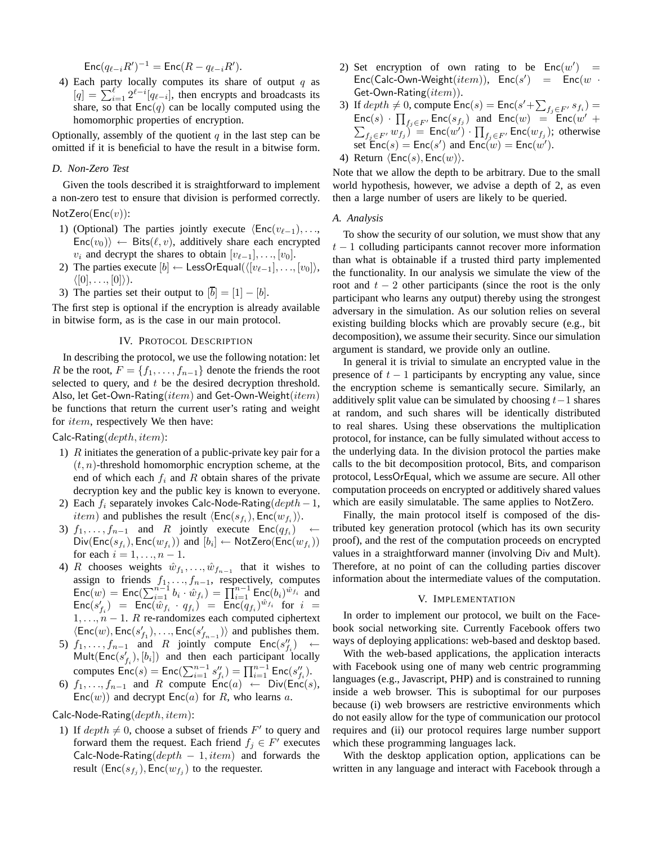$\mathsf{Enc}(q_{\ell-i}R')^{-1} = \mathsf{Enc}(R - q_{\ell-i}R').$ 

4) Each party locally computes its share of output  $q$  as  $[q] = \sum_{i=1}^{l} 2^{\ell-i} [q_{\ell-i}]$ , then encrypts and broadcasts its share, so that  $Enc(q)$  can be locally computed using the homomorphic properties of encryption.

Optionally, assembly of the quotient  $q$  in the last step can be omitted if it is beneficial to have the result in a bitwise form.

## *D. Non-Zero Test*

Given the tools described it is straightforward to implement a non-zero test to ensure that division is performed correctly.  $NotZero(Enc(v))$ :

- 1) (Optional) The parties jointly execute  $\langle Enc(v_{\ell-1}), \ldots, \rangle$  $\textsf{Enc}(v_0)$  ← Bits( $\ell, v$ ), additively share each encrypted  $v_i$  and decrypt the shares to obtain  $[v_{\ell-1}], \ldots, [v_0]$ .
- 2) The parties execute  $[b] \leftarrow$  LessOrEqual( $\langle [v_{\ell-1}], \ldots, [v_0] \rangle$ ,  $\langle [0], \ldots, [0] \rangle$ ).
- 3) The parties set their output to  $[\overline{b}] = [1] [b]$ .

The first step is optional if the encryption is already available in bitwise form, as is the case in our main protocol.

## IV. PROTOCOL DESCRIPTION

In describing the protocol, we use the following notation: let R be the root,  $F = \{f_1, \ldots, f_{n-1}\}\$  denote the friends the root selected to query, and  $t$  be the desired decryption threshold. Also, let Get-Own-Rating(*item*) and Get-Own-Weight(*item*) be functions that return the current user's rating and weight for *item*, respectively We then have:

## $Calc-Rating(depth, item):$

- 1)  $R$  initiates the generation of a public-private key pair for a  $(t, n)$ -threshold homomorphic encryption scheme, at the end of which each  $f_i$  and R obtain shares of the private decryption key and the public key is known to everyone.
- 2) Each  $f_i$  separately invokes Calc-Node-Rating( $depth-1$ , *item*) and publishes the result  $\langle Enc(s_{f_i}), Enc(w_{f_i}) \rangle$ .
- 3)  $f_1, \ldots, f_{n-1}$  and R jointly execute  $Enc(q_{f_i}) \leftarrow$  $Div(Enc(s_{f_i}), Enc(w_{f_i}))$  and  $[b_i] \leftarrow NotZero(Enc(w_{f_i}))$ for each  $i = 1, ..., n - 1$ .
- 4) R chooses weights  $\hat{w}_{f_1}, \dots, \hat{w}_{f_{n-1}}$  that it wishes to assign to friends  $f_1, \ldots, f_{n-1}$ , respectively, computes  $\text{Enc}(w) = \text{Enc}(\sum_{i=1}^{n-1} b_i \cdot \hat{w}_{f_i}) = \prod_{i=1}^{n-1} \text{Enc}(b_i)^{\hat{w}_{f_i}}$  and  $Enc(s'_{f_i})$  =  $Enc(\hat{w}_{f_i} \cdot q_{f_i})$  =  $Enc(q_{f_i})^{\hat{w}_{f_i}}$  for  $i =$  $1, \ldots, n-1$ . R re-randomizes each computed ciphertext  $\langle \text{Enc}(w), \text{Enc}(s'_{f_1}), \dots, \text{Enc}(s'_{f_{n-1}}) \rangle$  and publishes them.
- 5)  $f_1, \ldots, f_{n-1}$  and R jointly compute  $\mathsf{Enc}(s_{f_i}') \leftarrow$  $Mult(Enc(s'_{f_i}), [b_i])$  and then each participant locally computes  $\text{Enc}(s) = \text{Enc}(\sum_{i=1}^{n-1} s_{f_i}^{"}) = \prod_{i=1}^{n-1} \text{Enc}(s_{f_i}^{"})$ .
- 6)  $f_1, \ldots, f_{n-1}$  and R compute  $\text{Enc}(a) \leftarrow \text{Div}(\text{Enc}(s))$ ,  $Enc(w)$  and decrypt  $Enc(a)$  for R, who learns a.

## Calc-Node-Rating $(depth, item)$ :

1) If  $depth \neq 0$ , choose a subset of friends  $F'$  to query and forward them the request. Each friend  $f_j \in F'$  executes Calc-Node-Rating $(depth - 1, item)$  and forwards the result  $(\mathsf{Enc}(s_{f_j}), \mathsf{Enc}(w_{f_j})$  to the requester.

- 2) Set encryption of own rating to be  $Enc(w') =$  $Enc(Calc-Own-Weight(item)),$   $Enc(s') = Enc(w -$ Get-Own-Rating $(item)$ ).
- 3) If  $depth \neq 0$ , compute  $Enc(s) = Enc(s' + \sum_{f_j \in F'} s_{f_i}) =$  $Enc(s)$  ·  $\prod_{f_j \in F'} Enc(s_{f_j})$  and  $Enc(w) = inc(w' +$  $\sum_{f_j \in F'} w_{f_j}$ ) =  $\text{Enc}(w') \cdot \prod_{f_j \in F'} \text{Enc}(w_{f_j})$ ; otherwise set  $Enc(s)$  =  $Enc(s')$  and  $Enc(w)$  =  $Enc(w')$ . 4) Return  $\langle Enc(s), Enc(w) \rangle$ .

Note that we allow the depth to be arbitrary. Due to the small world hypothesis, however, we advise a depth of 2, as even then a large number of users are likely to be queried.

## *A. Analysis*

To show the security of our solution, we must show that any  $t - 1$  colluding participants cannot recover more information than what is obtainable if a trusted third party implemented the functionality. In our analysis we simulate the view of the root and  $t - 2$  other participants (since the root is the only participant who learns any output) thereby using the strongest adversary in the simulation. As our solution relies on several existing building blocks which are provably secure (e.g., bit decomposition), we assume their security. Since our simulation argument is standard, we provide only an outline.

In general it is trivial to simulate an encrypted value in the presence of  $t - 1$  participants by encrypting any value, since the encryption scheme is semantically secure. Similarly, an additively split value can be simulated by choosing  $t-1$  shares at random, and such shares will be identically distributed to real shares. Using these observations the multiplication protocol, for instance, can be fully simulated without access to the underlying data. In the division protocol the parties make calls to the bit decomposition protocol, Bits, and comparison protocol, LessOrEqual, which we assume are secure. All other computation proceeds on encrypted or additively shared values which are easily simulatable. The same applies to NotZero.

Finally, the main protocol itself is composed of the distributed key generation protocol (which has its own security proof), and the rest of the computation proceeds on encrypted values in a straightforward manner (involving Div and Mult). Therefore, at no point of can the colluding parties discover information about the intermediate values of the computation.

### V. IMPLEMENTATION

In order to implement our protocol, we built on the Facebook social networking site. Currently Facebook offers two ways of deploying applications: web-based and desktop based.

With the web-based applications, the application interacts with Facebook using one of many web centric programming languages (e.g., Javascript, PHP) and is constrained to running inside a web browser. This is suboptimal for our purposes because (i) web browsers are restrictive environments which do not easily allow for the type of communication our protocol requires and (ii) our protocol requires large number support which these programming languages lack.

With the desktop application option, applications can be written in any language and interact with Facebook through a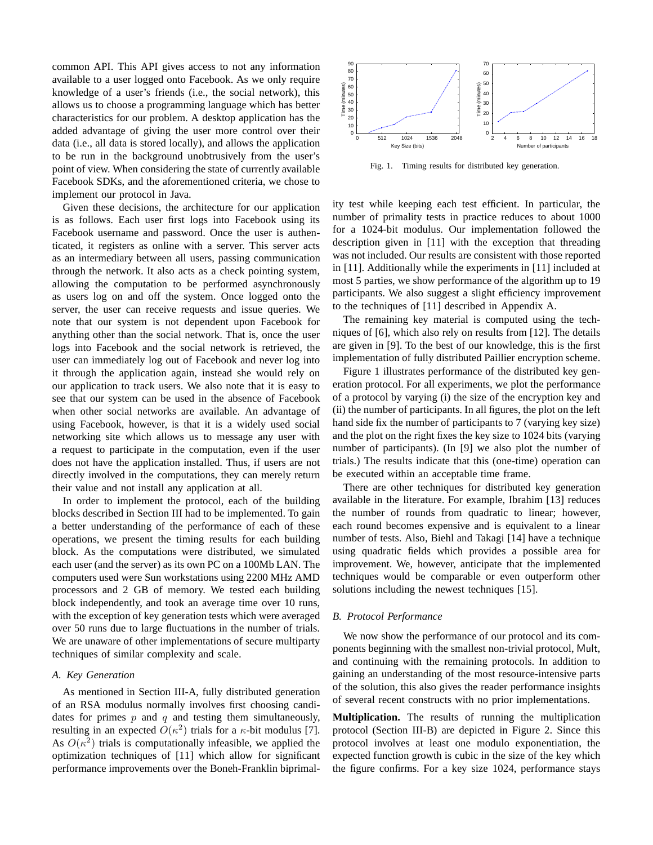common API. This API gives access to not any information available to a user logged onto Facebook. As we only require knowledge of a user's friends (i.e., the social network), this allows us to choose a programming language which has better characteristics for our problem. A desktop application has the added advantage of giving the user more control over their data (i.e., all data is stored locally), and allows the application to be run in the background unobtrusively from the user's point of view. When considering the state of currently available Facebook SDKs, and the aforementioned criteria, we chose to implement our protocol in Java.

Given these decisions, the architecture for our application is as follows. Each user first logs into Facebook using its Facebook username and password. Once the user is authenticated, it registers as online with a server. This server acts as an intermediary between all users, passing communication through the network. It also acts as a check pointing system, allowing the computation to be performed asynchronously as users log on and off the system. Once logged onto the server, the user can receive requests and issue queries. We note that our system is not dependent upon Facebook for anything other than the social network. That is, once the user logs into Facebook and the social network is retrieved, the user can immediately log out of Facebook and never log into it through the application again, instead she would rely on our application to track users. We also note that it is easy to see that our system can be used in the absence of Facebook when other social networks are available. An advantage of using Facebook, however, is that it is a widely used social networking site which allows us to message any user with a request to participate in the computation, even if the user does not have the application installed. Thus, if users are not directly involved in the computations, they can merely return their value and not install any application at all.

In order to implement the protocol, each of the building blocks described in Section III had to be implemented. To gain a better understanding of the performance of each of these operations, we present the timing results for each building block. As the computations were distributed, we simulated each user (and the server) as its own PC on a 100Mb LAN. The computers used were Sun workstations using 2200 MHz AMD processors and 2 GB of memory. We tested each building block independently, and took an average time over 10 runs, with the exception of key generation tests which were averaged over 50 runs due to large fluctuations in the number of trials. We are unaware of other implementations of secure multiparty techniques of similar complexity and scale.

#### *A. Key Generation*

As mentioned in Section III-A, fully distributed generation of an RSA modulus normally involves first choosing candidates for primes  $p$  and  $q$  and testing them simultaneously, resulting in an expected  $O(\kappa^2)$  trials for a  $\kappa$ -bit modulus [7]. As  $O(\kappa^2)$  trials is computationally infeasible, we applied the optimization techniques of [11] which allow for significant performance improvements over the Boneh-Franklin biprimal-



Fig. 1. Timing results for distributed key generation.

ity test while keeping each test efficient. In particular, the number of primality tests in practice reduces to about 1000 for a 1024-bit modulus. Our implementation followed the description given in [11] with the exception that threading was not included. Our results are consistent with those reported in [11]. Additionally while the experiments in [11] included at most 5 parties, we show performance of the algorithm up to 19 participants. We also suggest a slight efficiency improvement to the techniques of [11] described in Appendix A.

The remaining key material is computed using the techniques of [6], which also rely on results from [12]. The details are given in [9]. To the best of our knowledge, this is the first implementation of fully distributed Paillier encryption scheme.

Figure 1 illustrates performance of the distributed key generation protocol. For all experiments, we plot the performance of a protocol by varying (i) the size of the encryption key and (ii) the number of participants. In all figures, the plot on the left hand side fix the number of participants to 7 (varying key size) and the plot on the right fixes the key size to 1024 bits (varying number of participants). (In [9] we also plot the number of trials.) The results indicate that this (one-time) operation can be executed within an acceptable time frame.

There are other techniques for distributed key generation available in the literature. For example, Ibrahim [13] reduces the number of rounds from quadratic to linear; however, each round becomes expensive and is equivalent to a linear number of tests. Also, Biehl and Takagi [14] have a technique using quadratic fields which provides a possible area for improvement. We, however, anticipate that the implemented techniques would be comparable or even outperform other solutions including the newest techniques [15].

## *B. Protocol Performance*

We now show the performance of our protocol and its components beginning with the smallest non-trivial protocol, Mult, and continuing with the remaining protocols. In addition to gaining an understanding of the most resource-intensive parts of the solution, this also gives the reader performance insights of several recent constructs with no prior implementations.

**Multiplication.** The results of running the multiplication protocol (Section III-B) are depicted in Figure 2. Since this protocol involves at least one modulo exponentiation, the expected function growth is cubic in the size of the key which the figure confirms. For a key size 1024, performance stays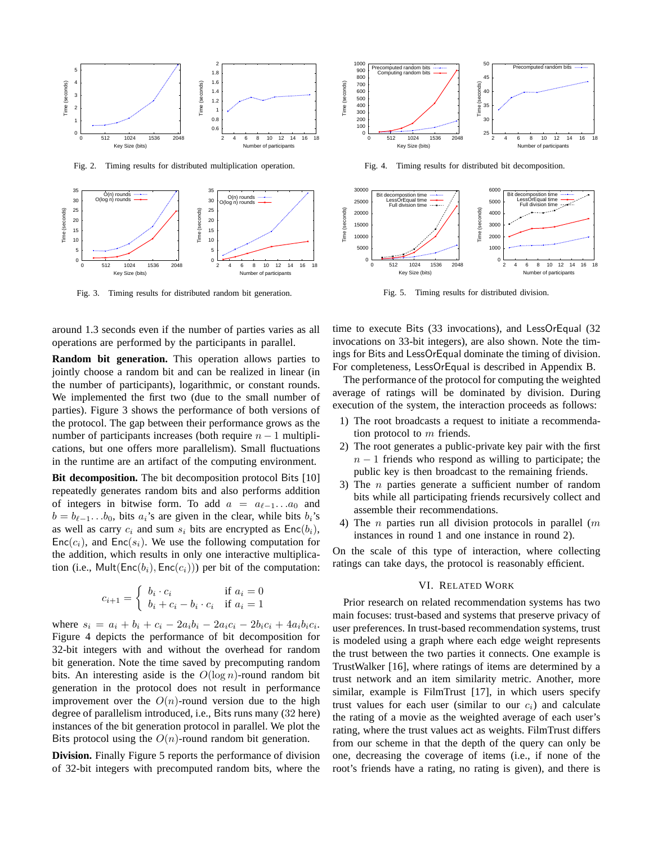

Fig. 2. Timing results for distributed multiplication operation.



Fig. 3. Timing results for distributed random bit generation.

around 1.3 seconds even if the number of parties varies as all operations are performed by the participants in parallel.

**Random bit generation.** This operation allows parties to jointly choose a random bit and can be realized in linear (in the number of participants), logarithmic, or constant rounds. We implemented the first two (due to the small number of parties). Figure 3 shows the performance of both versions of the protocol. The gap between their performance grows as the number of participants increases (both require  $n - 1$  multiplications, but one offers more parallelism). Small fluctuations in the runtime are an artifact of the computing environment.

**Bit decomposition.** The bit decomposition protocol Bits [10] repeatedly generates random bits and also performs addition of integers in bitwise form. To add  $a = a_{\ell-1} \dots a_0$  and  $b = b_{\ell-1} \dots b_0$ , bits  $a_i$ 's are given in the clear, while bits  $b_i$ 's as well as carry  $c_i$  and sum  $s_i$  bits are encrypted as  $Enc(b_i)$ ,  $Enc(c_i)$ , and  $Enc(s_i)$ . We use the following computation for the addition, which results in only one interactive multiplication (i.e., Mult( $Enc(b_i)$ ,  $Enc(c_i)$ )) per bit of the computation:

$$
c_{i+1} = \begin{cases} b_i \cdot c_i & \text{if } a_i = 0\\ b_i + c_i - b_i \cdot c_i & \text{if } a_i = 1 \end{cases}
$$

where  $s_i = a_i + b_i + c_i - 2a_i b_i - 2a_i c_i - 2b_i c_i + 4a_i b_i c_i$ . Figure 4 depicts the performance of bit decomposition for 32-bit integers with and without the overhead for random bit generation. Note the time saved by precomputing random bits. An interesting aside is the  $O(\log n)$ -round random bit generation in the protocol does not result in performance improvement over the  $O(n)$ -round version due to the high degree of parallelism introduced, i.e., Bits runs many (32 here) instances of the bit generation protocol in parallel. We plot the Bits protocol using the  $O(n)$ -round random bit generation.

**Division.** Finally Figure 5 reports the performance of division of 32-bit integers with precomputed random bits, where the



Fig. 4. Timing results for distributed bit decomposition.



Fig. 5. Timing results for distributed division.

time to execute Bits (33 invocations), and LessOrEqual (32 invocations on 33-bit integers), are also shown. Note the timings for Bits and LessOrEqual dominate the timing of division. For completeness, LessOrEqual is described in Appendix B.

The performance of the protocol for computing the weighted average of ratings will be dominated by division. During execution of the system, the interaction proceeds as follows:

- 1) The root broadcasts a request to initiate a recommendation protocol to  $m$  friends.
- 2) The root generates a public-private key pair with the first  $n - 1$  friends who respond as willing to participate; the public key is then broadcast to the remaining friends.
- 3) The n parties generate a sufficient number of random bits while all participating friends recursively collect and assemble their recommendations.
- 4) The  $n$  parties run all division protocols in parallel  $(m)$ instances in round 1 and one instance in round 2).

On the scale of this type of interaction, where collecting ratings can take days, the protocol is reasonably efficient.

#### VI. RELATED WORK

Prior research on related recommendation systems has two main focuses: trust-based and systems that preserve privacy of user preferences. In trust-based recommendation systems, trust is modeled using a graph where each edge weight represents the trust between the two parties it connects. One example is TrustWalker [16], where ratings of items are determined by a trust network and an item similarity metric. Another, more similar, example is FilmTrust [17], in which users specify trust values for each user (similar to our  $c_i$ ) and calculate the rating of a movie as the weighted average of each user's rating, where the trust values act as weights. FilmTrust differs from our scheme in that the depth of the query can only be one, decreasing the coverage of items (i.e., if none of the root's friends have a rating, no rating is given), and there is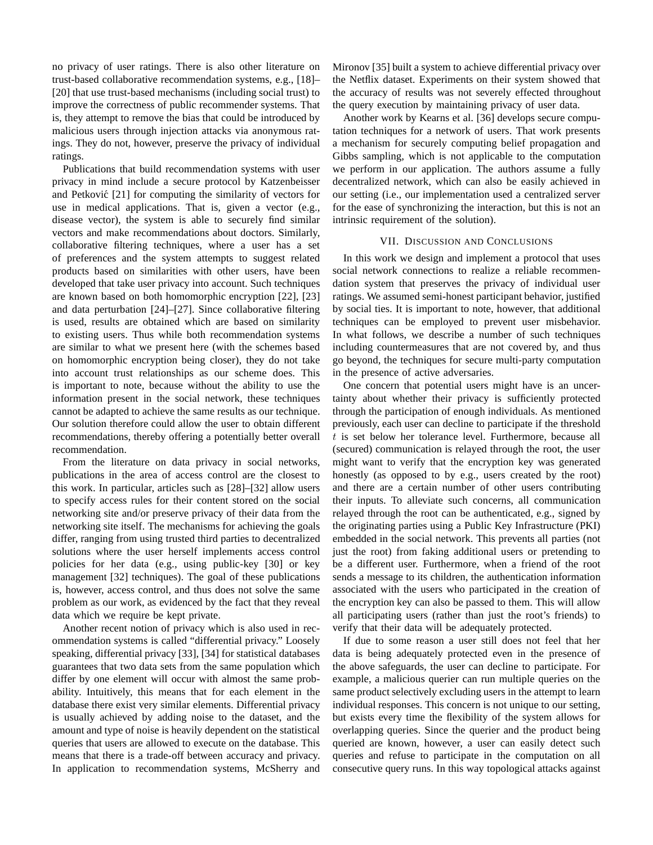no privacy of user ratings. There is also other literature on trust-based collaborative recommendation systems, e.g., [18]– [20] that use trust-based mechanisms (including social trust) to improve the correctness of public recommender systems. That is, they attempt to remove the bias that could be introduced by malicious users through injection attacks via anonymous ratings. They do not, however, preserve the privacy of individual ratings.

Publications that build recommendation systems with user privacy in mind include a secure protocol by Katzenbeisser and Petković  $[21]$  for computing the similarity of vectors for use in medical applications. That is, given a vector (e.g., disease vector), the system is able to securely find similar vectors and make recommendations about doctors. Similarly, collaborative filtering techniques, where a user has a set of preferences and the system attempts to suggest related products based on similarities with other users, have been developed that take user privacy into account. Such techniques are known based on both homomorphic encryption [22], [23] and data perturbation [24]–[27]. Since collaborative filtering is used, results are obtained which are based on similarity to existing users. Thus while both recommendation systems are similar to what we present here (with the schemes based on homomorphic encryption being closer), they do not take into account trust relationships as our scheme does. This is important to note, because without the ability to use the information present in the social network, these techniques cannot be adapted to achieve the same results as our technique. Our solution therefore could allow the user to obtain different recommendations, thereby offering a potentially better overall recommendation.

From the literature on data privacy in social networks, publications in the area of access control are the closest to this work. In particular, articles such as [28]–[32] allow users to specify access rules for their content stored on the social networking site and/or preserve privacy of their data from the networking site itself. The mechanisms for achieving the goals differ, ranging from using trusted third parties to decentralized solutions where the user herself implements access control policies for her data (e.g., using public-key [30] or key management [32] techniques). The goal of these publications is, however, access control, and thus does not solve the same problem as our work, as evidenced by the fact that they reveal data which we require be kept private.

Another recent notion of privacy which is also used in recommendation systems is called "differential privacy." Loosely speaking, differential privacy [33], [34] for statistical databases guarantees that two data sets from the same population which differ by one element will occur with almost the same probability. Intuitively, this means that for each element in the database there exist very similar elements. Differential privacy is usually achieved by adding noise to the dataset, and the amount and type of noise is heavily dependent on the statistical queries that users are allowed to execute on the database. This means that there is a trade-off between accuracy and privacy. In application to recommendation systems, McSherry and

Mironov [35] built a system to achieve differential privacy over the Netflix dataset. Experiments on their system showed that the accuracy of results was not severely effected throughout the query execution by maintaining privacy of user data.

Another work by Kearns et al. [36] develops secure computation techniques for a network of users. That work presents a mechanism for securely computing belief propagation and Gibbs sampling, which is not applicable to the computation we perform in our application. The authors assume a fully decentralized network, which can also be easily achieved in our setting (i.e., our implementation used a centralized server for the ease of synchronizing the interaction, but this is not an intrinsic requirement of the solution).

#### VII. DISCUSSION AND CONCLUSIONS

In this work we design and implement a protocol that uses social network connections to realize a reliable recommendation system that preserves the privacy of individual user ratings. We assumed semi-honest participant behavior, justified by social ties. It is important to note, however, that additional techniques can be employed to prevent user misbehavior. In what follows, we describe a number of such techniques including countermeasures that are not covered by, and thus go beyond, the techniques for secure multi-party computation in the presence of active adversaries.

One concern that potential users might have is an uncertainty about whether their privacy is sufficiently protected through the participation of enough individuals. As mentioned previously, each user can decline to participate if the threshold t is set below her tolerance level. Furthermore, because all (secured) communication is relayed through the root, the user might want to verify that the encryption key was generated honestly (as opposed to by e.g., users created by the root) and there are a certain number of other users contributing their inputs. To alleviate such concerns, all communication relayed through the root can be authenticated, e.g., signed by the originating parties using a Public Key Infrastructure (PKI) embedded in the social network. This prevents all parties (not just the root) from faking additional users or pretending to be a different user. Furthermore, when a friend of the root sends a message to its children, the authentication information associated with the users who participated in the creation of the encryption key can also be passed to them. This will allow all participating users (rather than just the root's friends) to verify that their data will be adequately protected.

If due to some reason a user still does not feel that her data is being adequately protected even in the presence of the above safeguards, the user can decline to participate. For example, a malicious querier can run multiple queries on the same product selectively excluding users in the attempt to learn individual responses. This concern is not unique to our setting, but exists every time the flexibility of the system allows for overlapping queries. Since the querier and the product being queried are known, however, a user can easily detect such queries and refuse to participate in the computation on all consecutive query runs. In this way topological attacks against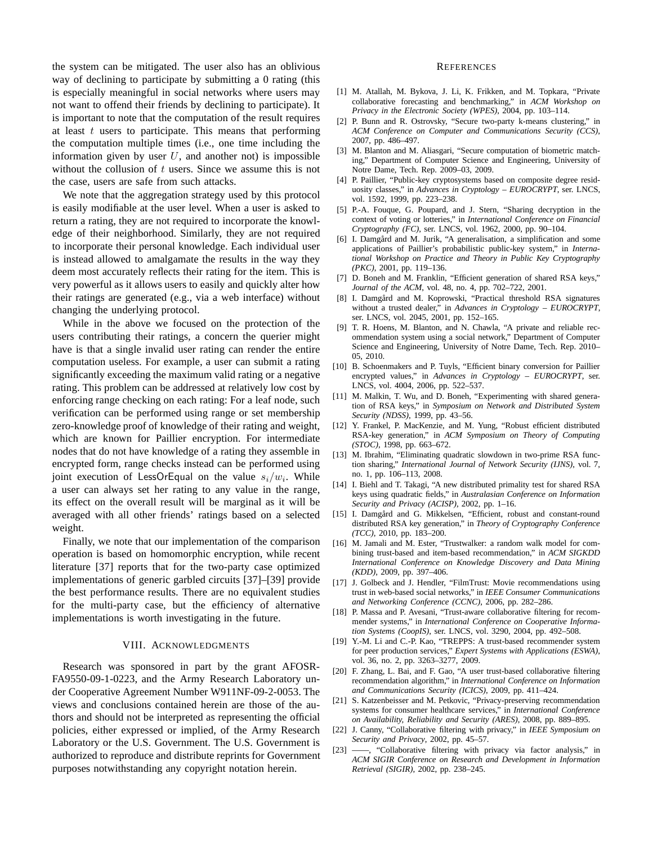the system can be mitigated. The user also has an oblivious way of declining to participate by submitting a 0 rating (this is especially meaningful in social networks where users may not want to offend their friends by declining to participate). It is important to note that the computation of the result requires at least  $t$  users to participate. This means that performing the computation multiple times (i.e., one time including the information given by user  $U$ , and another not) is impossible without the collusion of  $t$  users. Since we assume this is not the case, users are safe from such attacks.

We note that the aggregation strategy used by this protocol is easily modifiable at the user level. When a user is asked to return a rating, they are not required to incorporate the knowledge of their neighborhood. Similarly, they are not required to incorporate their personal knowledge. Each individual user is instead allowed to amalgamate the results in the way they deem most accurately reflects their rating for the item. This is very powerful as it allows users to easily and quickly alter how their ratings are generated (e.g., via a web interface) without changing the underlying protocol.

While in the above we focused on the protection of the users contributing their ratings, a concern the querier might have is that a single invalid user rating can render the entire computation useless. For example, a user can submit a rating significantly exceeding the maximum valid rating or a negative rating. This problem can be addressed at relatively low cost by enforcing range checking on each rating: For a leaf node, such verification can be performed using range or set membership zero-knowledge proof of knowledge of their rating and weight, which are known for Paillier encryption. For intermediate nodes that do not have knowledge of a rating they assemble in encrypted form, range checks instead can be performed using joint execution of LessOrEqual on the value  $s_i/w_i$ . While a user can always set her rating to any value in the range, its effect on the overall result will be marginal as it will be averaged with all other friends' ratings based on a selected weight.

Finally, we note that our implementation of the comparison operation is based on homomorphic encryption, while recent literature [37] reports that for the two-party case optimized implementations of generic garbled circuits [37]–[39] provide the best performance results. There are no equivalent studies for the multi-party case, but the efficiency of alternative implementations is worth investigating in the future.

#### VIII. ACKNOWLEDGMENTS

Research was sponsored in part by the grant AFOSR-FA9550-09-1-0223, and the Army Research Laboratory under Cooperative Agreement Number W911NF-09-2-0053. The views and conclusions contained herein are those of the authors and should not be interpreted as representing the official policies, either expressed or implied, of the Army Research Laboratory or the U.S. Government. The U.S. Government is authorized to reproduce and distribute reprints for Government purposes notwithstanding any copyright notation herein.

#### **REFERENCES**

- [1] M. Atallah, M. Bykova, J. Li, K. Frikken, and M. Topkara, "Private collaborative forecasting and benchmarking," in *ACM Workshop on Privacy in the Electronic Society (WPES)*, 2004, pp. 103–114.
- [2] P. Bunn and R. Ostrovsky, "Secure two-party k-means clustering," in *ACM Conference on Computer and Communications Security (CCS)*, 2007, pp. 486–497.
- [3] M. Blanton and M. Aliasgari, "Secure computation of biometric matching," Department of Computer Science and Engineering, University of Notre Dame, Tech. Rep. 2009–03, 2009.
- [4] P. Paillier, "Public-key cryptosystems based on composite degree residuosity classes," in *Advances in Cryptology – EUROCRYPT*, ser. LNCS, vol. 1592, 1999, pp. 223–238.
- [5] P.-A. Fouque, G. Poupard, and J. Stern, "Sharing decryption in the context of voting or lotteries," in *International Conference on Financial Cryptography (FC)*, ser. LNCS, vol. 1962, 2000, pp. 90–104.
- [6] I. Damgård and M. Jurik, "A generalisation, a simplification and some applications of Paillier's probabilistic public-key system," in *International Workshop on Practice and Theory in Public Key Cryptography (PKC)*, 2001, pp. 119–136.
- [7] D. Boneh and M. Franklin, "Efficient generation of shared RSA keys," *Journal of the ACM*, vol. 48, no. 4, pp. 702–722, 2001.
- [8] I. Damgård and M. Koprowski, "Practical threshold RSA signatures without a trusted dealer," in *Advances in Cryptology – EUROCRYPT*, ser. LNCS, vol. 2045, 2001, pp. 152–165.
- [9] T. R. Hoens, M. Blanton, and N. Chawla, "A private and reliable recommendation system using a social network," Department of Computer Science and Engineering, University of Notre Dame, Tech. Rep. 2010– 05, 2010.
- [10] B. Schoenmakers and P. Tuyls, "Efficient binary conversion for Paillier encrypted values," in *Advances in Cryptology – EUROCRYPT*, ser. LNCS, vol. 4004, 2006, pp. 522–537.
- [11] M. Malkin, T. Wu, and D. Boneh, "Experimenting with shared generation of RSA keys," in *Symposium on Network and Distributed System Security (NDSS)*, 1999, pp. 43–56.
- [12] Y. Frankel, P. MacKenzie, and M. Yung, "Robust efficient distributed RSA-key generation," in *ACM Symposium on Theory of Computing (STOC)*, 1998, pp. 663–672.
- [13] M. Ibrahim, "Eliminating quadratic slowdown in two-prime RSA function sharing," *International Journal of Network Security (IJNS)*, vol. 7, no. 1, pp. 106–113, 2008.
- [14] I. Biehl and T. Takagi, "A new distributed primality test for shared RSA keys using quadratic fields," in *Australasian Conference on Information Security and Privacy (ACISP)*, 2002, pp. 1–16.
- [15] I. Damgård and G. Mikkelsen, "Efficient, robust and constant-round distributed RSA key generation," in *Theory of Cryptography Conference (TCC)*, 2010, pp. 183–200.
- [16] M. Jamali and M. Ester, "Trustwalker: a random walk model for combining trust-based and item-based recommendation," in *ACM SIGKDD International Conference on Knowledge Discovery and Data Mining (KDD)*, 2009, pp. 397–406.
- [17] J. Golbeck and J. Hendler, "FilmTrust: Movie recommendations using trust in web-based social networks," in *IEEE Consumer Communications and Networking Conference (CCNC)*, 2006, pp. 282–286.
- [18] P. Massa and P. Avesani, "Trust-aware collaborative filtering for recommender systems," in *International Conference on Cooperative Information Systems (CoopIS)*, ser. LNCS, vol. 3290, 2004, pp. 492–508.
- [19] Y.-M. Li and C.-P. Kao, "TREPPS: A trust-based recommender system for peer production services," *Expert Systems with Applications (ESWA)*, vol. 36, no. 2, pp. 3263–3277, 2009.
- [20] F. Zhang, L. Bai, and F. Gao, "A user trust-based collaborative filtering recommendation algorithm," in *International Conference on Information and Communications Security (ICICS)*, 2009, pp. 411–424.
- [21] S. Katzenbeisser and M. Petkovic, "Privacy-preserving recommendation systems for consumer healthcare services," in *International Conference on Availability, Reliability and Security (ARES)*, 2008, pp. 889–895.
- [22] J. Canny, "Collaborative filtering with privacy," in *IEEE Symposium on Security and Privacy*, 2002, pp. 45–57.
- [23] -, "Collaborative filtering with privacy via factor analysis," in *ACM SIGIR Conference on Research and Development in Information Retrieval (SIGIR)*, 2002, pp. 238–245.